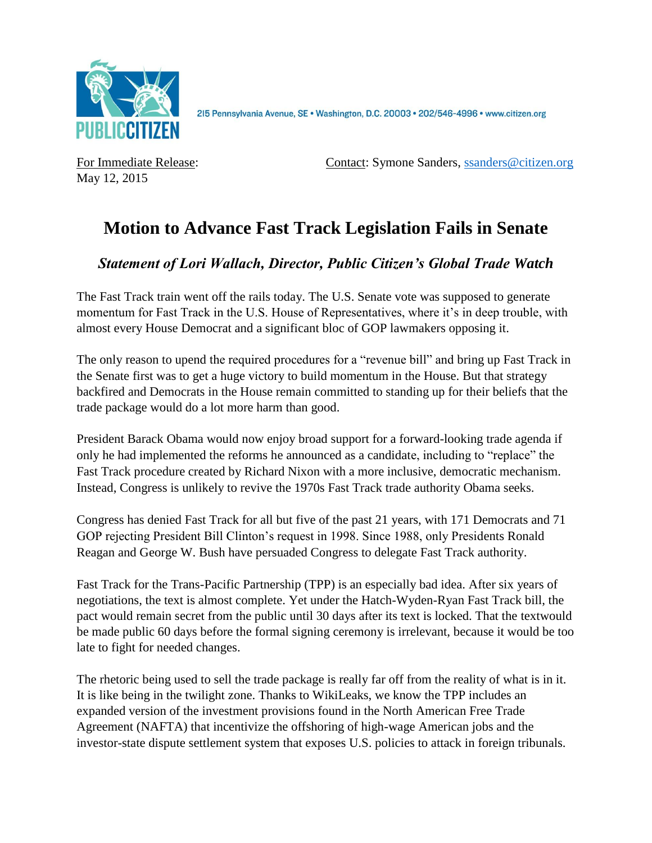

215 Pennsylvania Avenue, SE · Washington, D.C. 20003 · 202/546-4996 · www.citizen.org

May 12, 2015

For Immediate Release: Contact: Symone Sanders, [ssanders@citizen.org](mailto:ssanders@citizen.org)

## **Motion to Advance Fast Track Legislation Fails in Senate**

## *Statement of Lori Wallach, Director, Public Citizen's Global Trade Watch*

The Fast Track train went off the rails today. The U.S. Senate vote was supposed to generate momentum for Fast Track in the U.S. House of Representatives, where it's in deep trouble, with almost every House Democrat and a significant bloc of GOP lawmakers opposing it.

The only reason to upend the required procedures for a "revenue bill" and bring up Fast Track in the Senate first was to get a huge victory to build momentum in the House. But that strategy backfired and Democrats in the House remain committed to standing up for their beliefs that the trade package would do a lot more harm than good.

President Barack Obama would now enjoy broad support for a forward-looking trade agenda if only he had implemented the reforms he announced as a candidate, including to "replace" the Fast Track procedure created by Richard Nixon with a more inclusive, democratic mechanism. Instead, Congress is unlikely to revive the 1970s Fast Track trade authority Obama seeks.

Congress has denied Fast Track for all but five of the past 21 years, with 171 Democrats and 71 GOP rejecting President Bill Clinton's request in 1998. Since 1988, only Presidents Ronald Reagan and George W. Bush have persuaded Congress to delegate Fast Track authority.

Fast Track for the Trans-Pacific Partnership (TPP) is an especially bad idea. After six years of negotiations, the text is almost complete. Yet under the Hatch-Wyden-Ryan Fast Track bill, the pact would remain secret from the public until 30 days after its text is locked. That the textwould be made public 60 days before the formal signing ceremony is irrelevant, because it would be too late to fight for needed changes.

The rhetoric being used to sell the trade package is really far off from the reality of what is in it. It is like being in the twilight zone. Thanks to WikiLeaks, we know the TPP includes an expanded version of the investment provisions found in the North American Free Trade Agreement (NAFTA) that incentivize the offshoring of high-wage American jobs and the investor-state dispute settlement system that exposes U.S. policies to attack in foreign tribunals.